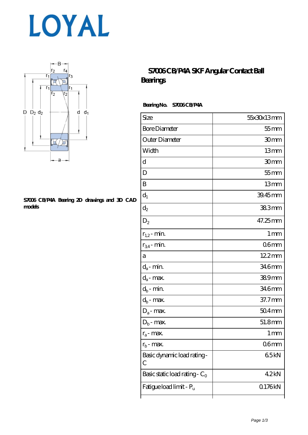



#### **[S7006 CB/P4A Bearing 2D drawings and 3D CAD](https://www.haoxingdj.com/pic-64598217.html) [models](https://www.haoxingdj.com/pic-64598217.html)**

### **[S7006 CB/P4A SKF Angular Contact Ball](https://www.haoxingdj.com/sell-64598217-s7006-cb-p4a-skf-angular-contact-ball-bearings.html) [Bearings](https://www.haoxingdj.com/sell-64598217-s7006-cb-p4a-skf-angular-contact-ball-bearings.html)**

#### **Bearing No. S7006 CB/P4A**

| Size                             | 55x30x13mm       |
|----------------------------------|------------------|
| <b>Bore Diameter</b>             | $55$ mm          |
| Outer Diameter                   | 30mm             |
| Width                            | 13mm             |
| d                                | 30 <sub>mm</sub> |
| D                                | $55$ mm          |
| B                                | 13mm             |
| $d_1$                            | 39.45mm          |
| $\mathrm{d}_2$                   | 383mm            |
| $D_2$                            | 47.25mm          |
| $r_{1,2}$ - min.                 | 1 <sub>mm</sub>  |
| $r_{34}$ - min.                  | 06 <sub>mm</sub> |
| а                                | $122$ mm         |
| $d_a$ - min.                     | 346mm            |
| $d_a$ - max.                     | 389mm            |
| $d_b$ - min.                     | 346mm            |
| $d_b$ - max.                     | 37.7mm           |
| $D_a$ - max.                     | $504$ mm         |
| $D_b$ - max.                     | 51.8mm           |
| $r_a$ - max.                     | 1 mm             |
| $r_{\rm b}$ - max.               | 06 <sub>mm</sub> |
| Basic dynamic load rating-<br>С  | 65kN             |
| Basic static load rating - $C_0$ | 42kN             |
| Fatigue load limit - Pu          | Q176kN           |
|                                  |                  |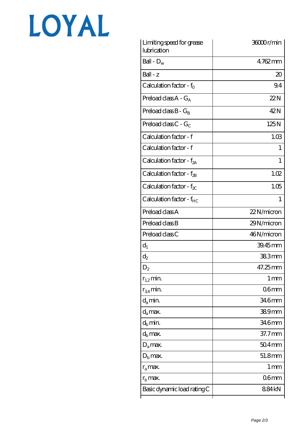# LOYAL

| Limiting speed for grease<br>lubrication | 36000r/min        |
|------------------------------------------|-------------------|
| Ball - $D_w$                             | $4762$ mm         |
| $Ball - z$                               | $20\,$            |
| Calculation factor - $f_0$               | 9.4               |
| Preload class $A - G_A$                  | 22N               |
| Preload class $B - G_B$                  | 42N               |
| Preload class C - $G_C$                  | 125N              |
| Calculation factor - f                   | 1.03              |
| Calculation factor - f                   | L                 |
| Calculation factor - f <sub>2A</sub>     | 1                 |
| Calculation factor - $f_{2B}$            | 1.02              |
| Calculation factor - $f_{\chi}$          | 1.05              |
| Calculation factor - $f_{HC}$            | 1                 |
| Preload class A                          | 22N/micron        |
| Preload class B                          | 29N/micron        |
| Preload class C                          | 46N/micron        |
| $d_1$                                    | 39.45mm           |
| $\mathrm{d}_2$                           | 383mm             |
| $D_2$                                    | 47.25mm           |
| $r_{1,2}$ min.                           | 1 <sub>mm</sub>   |
| $r_{34}$ min.                            | 06 <sub>mm</sub>  |
| $d_{a}$ min.                             | 34.6mm            |
| $d_a$ max.                               | 389mm             |
| $d_b$ min.                               | 346mm             |
| $d_h$ max.                               | $37.7$ mm         |
| $D_a$ max.                               | $504$ mm          |
| $D_{\rm b}$ max.                         | 51.8mm            |
| $r_a$ max.                               | $1 \,\mathrm{mm}$ |
| $r_{\rm b}$ max.                         | 06 <sub>mm</sub>  |
| Basic dynamic load rating C              | 884kN             |